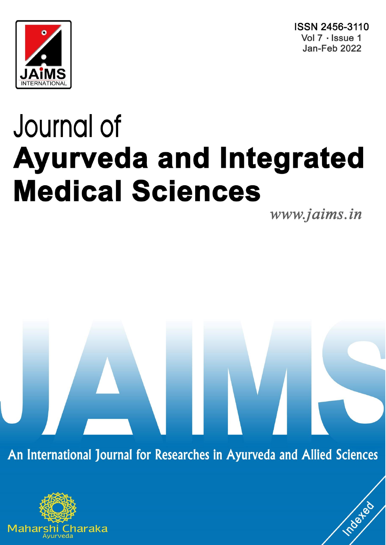



# Journal of **Ayurveda and Integrated Medical Sciences**

www.jaims.in

roated

An International Journal for Researches in Ayurveda and Allied Sciences

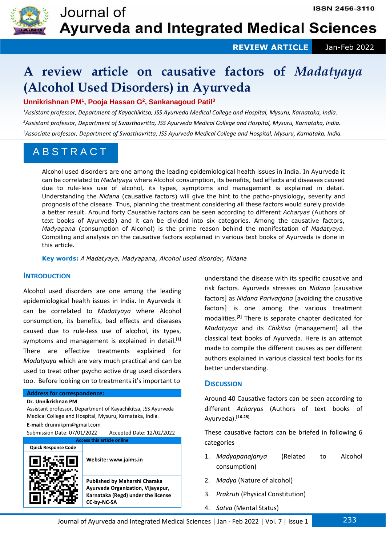

 **REVIEW ARTICLE** Jan-Feb 2022

# **A review article on causative factors of** *Madatyaya* **(Alcohol Used Disorders) in Ayurveda**

### **Unnikrishnan PM<sup>1</sup> , Pooja Hassan G<sup>2</sup> , Sankanagoud Patil<sup>3</sup>**

*<sup>1</sup>Assistant professor, Department of Kayachikitsa, JSS Ayurveda Medical College and Hospital, Mysuru, Karnataka, India. <sup>2</sup>Assistant professor, Department of Swasthavritta, JSS Ayurveda Medical College and Hospital, Mysuru, Karnataka, India. <sup>3</sup>Associate professor, Department of Swasthavritta, JSS Ayurveda Medical College and Hospital, Mysuru, Karnataka, India.*

## A B S T R A C T

Alcohol used disorders are one among the leading epidemiological health issues in India. In Ayurveda it can be correlated to *Madatyaya* where Alcohol consumption, its benefits, bad effects and diseases caused due to rule-less use of alcohol, its types, symptoms and management is explained in detail. Understanding the *Nidana* (causative factors) will give the hint to the patho-physiology, severity and prognosis of the disease. Thus, planning the treatment considering all these factors would surely provide a better result. Around forty Causative factors can be seen according to different *Acharyas* (Authors of text books of Ayurveda) and it can be divided into six categories. Among the causative factors, *Madyapana* (consumption of Alcohol) is the prime reason behind the manifestation of *Madatyaya*. Compiling and analysis on the causative factors explained in various text books of Ayurveda is done in this article.

**Key words:** *A Madatyaya, Madyapana, Alcohol used disorder, Nidana*

#### **INTRODUCTION** *sanas, Obesity, Sthaulya, Shaileyadi Churna, Udvartana.*

Alcohol used disorders are one among the leading epidemiological health issues in India. In Ayurveda it can be correlated to *Madatyaya* where Alcohol consumption, its benefits, bad effects and diseases caused due to rule-less use of alcohol, its types, symptoms and management is explained in detail.**[1]** There are effective treatments explained for *Madatyaya* which are very much practical and can be used to treat other psycho active drug used disorders too. Before looking on to treatments it's important to

#### **Address for correspondence:**

**Dr. Unnikrishnan PM**

Assistant professor, Department of Kayachikitsa, JSS Ayurveda Medical College and Hospital, Mysuru, Karnataka, India.

**E-mail:** drunnikpm@gmail.com

Submission Date: 07/01/2022 Accepted Date: 12/02/2022

| <b>Access this article online</b> |                                                                                                                                |  |  |  |  |  |  |  |
|-----------------------------------|--------------------------------------------------------------------------------------------------------------------------------|--|--|--|--|--|--|--|
| <b>Quick Response Code</b>        |                                                                                                                                |  |  |  |  |  |  |  |
|                                   | Website: www.jaims.in                                                                                                          |  |  |  |  |  |  |  |
|                                   | Published by Maharshi Charaka<br>Ayurveda Organization, Vijayapur,<br>Karnataka (Regd) under the license<br><b>CC-by-NC-SA</b> |  |  |  |  |  |  |  |

understand the disease with its specific causative and risk factors. Ayurveda stresses on *Nidana* [causative factors] as *Nidana Parivarjana* [avoiding the causative factors] is one among the various treatment modalities.**[2]** There is separate chapter dedicated for *Madatyaya* and its *Chikitsa* (management) all the classical text books of Ayurveda. Here is an attempt made to compile the different causes as per different authors explained in various classical text books for its better understanding.

#### **DISCUSSION**

Around 40 Causative factors can be seen according to different *Acharyas* (Authors of text books of Ayurveda).**[16-28]**

These causative factors can be briefed in following 6 categories

- 1. *Madyapanajanya* (Related to Alcohol consumption)
- 2. *Madya* (Nature of alcohol)
- 3. *Prakruti* (Physical Constitution)
- 4. *Satva* (Mental Status)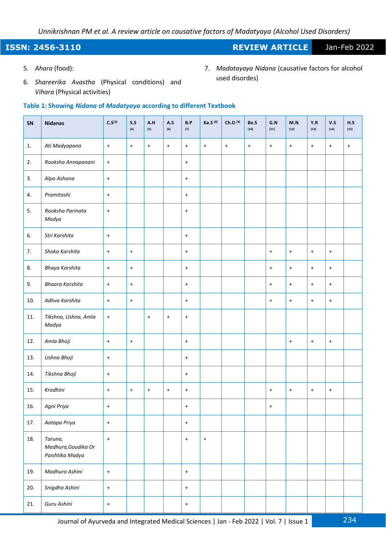### **ISSN: 2456-3110 REVIEW ARTICLE** Jan-Feb 2022

5. *Ahara* (food):

- 7. *Madatayaya Nidana* (causative factors for alcohol used disordes)
- 6. *Shareerika Avastha* (Physical conditions) and *Vihara* (Physical activities)

#### **Table 1: Showing** *Nidana* **of** *Madatyaya* **according to different Textbook**

| SN             | <b>Nidanas</b>                                    | $C.S^{[3]}$ | S.S       | A.H<br>$[5]$ | A.S<br>[6]                       | B.P                              | Ka.S <sup>[8]</sup>              | Ch.D <sup>[9]</sup> | Be.S<br>$[10]$ | G.N<br>$[11]$    | M.N<br>$[12]$        | Y.R<br>$[13]$                    | V.S<br>$[14]$ | H.S<br>$[15]$ |
|----------------|---------------------------------------------------|-------------|-----------|--------------|----------------------------------|----------------------------------|----------------------------------|---------------------|----------------|------------------|----------------------|----------------------------------|---------------|---------------|
| $\mathbf{1}$ . | Ati Madyapana                                     | $\ddag$     | $+$       | $\ddag$      | $\ddot{}$                        | $+$                              | $\begin{array}{c} + \end{array}$ | $\ddag$             | $+$            | $\ddot{}$        | $\bf +$              | $\ddag$                          | $+$           | $+$           |
| 2.             | Rooksha Annapanani                                | $\pm$       |           |              |                                  | $+$                              |                                  |                     |                |                  |                      |                                  |               |               |
| 3.             | Alpa Ashana                                       | $\ddag$     |           |              |                                  | $+$                              |                                  |                     |                |                  |                      |                                  |               |               |
| 4.             | Pramitashi                                        | $\pm$       |           |              |                                  | $+$                              |                                  |                     |                |                  |                      |                                  |               |               |
| 5.             | Rooksha Parinata<br>Madya                         | $\pm$       |           |              |                                  | $+$                              |                                  |                     |                |                  |                      |                                  |               |               |
| 6.             | Stri Karshita                                     | $\ddag$     |           |              |                                  | $\ddot{}$                        |                                  |                     |                |                  |                      |                                  |               |               |
| 7.             | Shoka Karshita                                    | $\ddag$     | $+$       |              |                                  | $+$                              |                                  |                     |                | $\boldsymbol{+}$ | $\ddag$              | $\ddag$                          | $\ddot{}$     |               |
| 8.             | Bhaya Karshita                                    | $+$         | $+$       |              |                                  | $+$                              |                                  |                     |                | $+$              | $+$                  | $+$                              | $+$           |               |
| 9.             | <b>Bhaara Karshita</b>                            | $\pm$       | $+$       |              |                                  | $+$                              |                                  |                     |                | $+$              | $\ddot{\phantom{1}}$ | $\ddot{\phantom{1}}$             | $+$           |               |
| 10.            | Adhva Karshita                                    | $\pm$       | $+$       |              |                                  | $+$                              |                                  |                     |                | $\ddot{}$        | $+$                  | $\ddot{\phantom{1}}$             | $+$           |               |
| 11.            | Tikshna, Ushna, Amla<br>Madya                     | $\pm$       |           | $\bf +$      | $\bf{+}$                         | $\bf{+}$                         |                                  |                     |                |                  |                      |                                  |               |               |
| 12.            | Amla Bhoji                                        | $\pm$       | $\ddot{}$ |              |                                  | $+$                              |                                  |                     |                |                  | $+$                  | $\ddag$                          | $\ddag$       |               |
| 13.            | Ushna Bhoji                                       | $\pm$       |           |              |                                  | $+$                              |                                  |                     |                |                  |                      |                                  |               |               |
| 14.            | Tikshna Bhoji                                     | $\pm$       |           |              |                                  | $+$                              |                                  |                     |                |                  |                      |                                  |               |               |
| 15.            | Krodhini                                          | $\pm$       | $+$       | $\bf +$      | $\begin{array}{c} + \end{array}$ | $+$                              |                                  |                     |                | $\bf{+}$         | $\bf +$              | $\begin{array}{c} + \end{array}$ | $\bf{+}$      |               |
| 16.            | Agni Priya                                        | $\ddot{}$   |           |              |                                  | $\begin{array}{c} + \end{array}$ |                                  |                     |                | $\ddot{}$        |                      |                                  |               |               |
| 17.            | Aatapa Priya                                      | $\ddot{}$   |           |              |                                  | $\pm$                            |                                  |                     |                |                  |                      |                                  |               |               |
| 18.            | Taruna,<br>Madhura, Goudika Or<br>Paishtika Madya | $\ddag$     |           |              |                                  | $\pm$                            | $+$                              |                     |                |                  |                      |                                  |               |               |
| 19.            | Madhura Ashini                                    | $\pm$       |           |              |                                  | $\pm$                            |                                  |                     |                |                  |                      |                                  |               |               |
| 20.            | Snigdha Ashini                                    | $\ddag$     |           |              |                                  | $\pm$                            |                                  |                     |                |                  |                      |                                  |               |               |
| 21.            | Guru Ashini                                       | $\ddot{}$   |           |              |                                  | $\pm$                            |                                  |                     |                |                  |                      |                                  |               |               |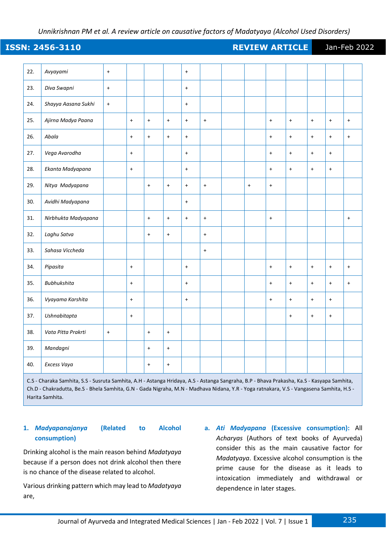### **ISSN: 2456-3110 REVIEW ARTICLE** Jan-Feb 2022

| 22. | Avyayami            | $+$                  |     |           |           | $\ddot{}$                        |                  |     |                  |                                  |           |                      |           |
|-----|---------------------|----------------------|-----|-----------|-----------|----------------------------------|------------------|-----|------------------|----------------------------------|-----------|----------------------|-----------|
| 23. | Diva Swapni         | $\ddot{\phantom{1}}$ |     |           |           | $\ddot{}$                        |                  |     |                  |                                  |           |                      |           |
| 24. | Shayya Aasana Sukhi | $\pmb{+}$            |     |           |           | $\ddot{}$                        |                  |     |                  |                                  |           |                      |           |
| 25. | Ajirna Madya Paana  |                      | $+$ | $\ddot{}$ | $\ddot{}$ | $\ddot{}$                        | $\ddot{}$        |     | $\ddot{}$        | $+$                              | $+$       | $\ddot{\phantom{1}}$ | $\ddot{}$ |
| 26. | Abala               |                      | $+$ | $+$       | $+$       | $+$                              |                  |     | $\ddot{}$        | $+$                              | $+$       | $\ddag$              | $\ddot{}$ |
| 27. | Vega Avarodha       |                      | $+$ |           |           | $\ddot{}$                        |                  |     | $+$              | $\ddot{\phantom{1}}$             | $+$       | $+$                  |           |
| 28. | Ekanta Madyapana    |                      | $+$ |           |           | $\begin{array}{c} + \end{array}$ |                  |     | $\ddot{}$        | $+$                              | $+$       | $\bf{+}$             |           |
| 29. | Nitya Madyapana     |                      |     | $\ddot{}$ | $\ddot{}$ | $+$                              | $\ddot{}$        | $+$ | $\ddot{}$        |                                  |           |                      |           |
| 30. | Avidhi Madyapana    |                      |     |           |           | $\ddot{}$                        |                  |     |                  |                                  |           |                      |           |
| 31. | Nirbhukta Madyapana |                      |     | $\ddot{}$ | $\ddot{}$ | $\ddot{}$                        | $\ddot{}$        |     | $\ddot{}$        |                                  |           |                      | $\ddot{}$ |
| 32. | Laghu Satva         |                      |     | $+$       | $+$       |                                  | $\ddot{}$        |     |                  |                                  |           |                      |           |
| 33. | Sahasa Viccheda     |                      |     |           |           |                                  | $\boldsymbol{+}$ |     |                  |                                  |           |                      |           |
| 34. | Pipasita            |                      | $+$ |           |           | $\ddag$                          |                  |     | $\ddot{}$        | $\ddag$                          | $+$       | $+$                  | $+$       |
| 35. | <b>Bubhukshita</b>  |                      | $+$ |           |           | $\begin{array}{c} + \end{array}$ |                  |     | $\boldsymbol{+}$ | $\begin{array}{c} + \end{array}$ | $\ddag$   | $\ddag$              | $\ddot{}$ |
| 36. | Vyayama Karshita    |                      | $+$ |           |           | $\pmb{+}$                        |                  |     | $\boldsymbol{+}$ | $+$                              | $+$       | $+$                  |           |
| 37. | Ushnabitapta        |                      | $+$ |           |           |                                  |                  |     |                  | $\begin{array}{c} + \end{array}$ | $\ddot{}$ | $\ddag$              |           |
| 38. | Vata Pitta Prakrti  | $+$                  |     | $+$       | $\ddot{}$ |                                  |                  |     |                  |                                  |           |                      |           |
| 39. | Mandagni            |                      |     | $+$       | $+$       |                                  |                  |     |                  |                                  |           |                      |           |
| 40. | Excess Vaya         |                      |     | $+$       | $\ddot{}$ |                                  |                  |     |                  |                                  |           |                      |           |

C.S - Charaka Samhita, S.S - Susruta Samhita, A.H - Astanga Hridaya, A.S - Astanga Sangraha, B.P - Bhava Prakasha, Ka.S - Kasyapa Samhita, Ch.D - Chakradutta, Be.S - Bhela Samhita, G.N - Gada Nigraha, M.N - Madhava Nidana, Y.R - Yoga ratnakara, V.S - Vangasena Samhita, H.S - Harita Samhita.

#### **1.** *Madyapanajanya* **(Related to Alcohol consumption)**

Drinking alcohol is the main reason behind *Madatyaya* because if a person does not drink alcohol then there is no chance of the disease related to alcohol.

Various drinking pattern which may lead to *Madatyaya* are,

**a.** *Ati Madyapana* **(Excessive consumption):** All *Acharyas* (Authors of text books of Ayurveda) consider this as the main causative factor for *Madatyaya*. Excessive alcohol consumption is the prime cause for the disease as it leads to intoxication immediately and withdrawal or dependence in later stages.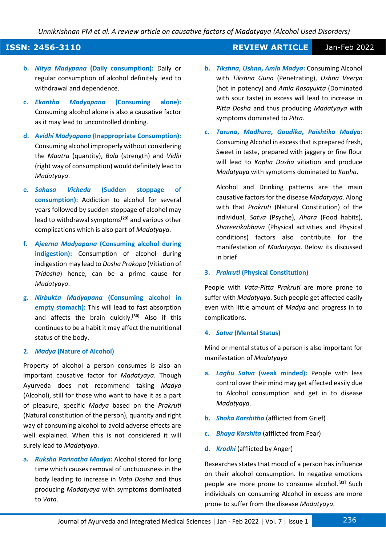### **ISSN: 2456-3110 REVIEW ARTICLE** Jan-Feb 2022

- **b.** *Nitya Madypana* **(Daily consumption):** Daily or regular consumption of alcohol definitely lead to withdrawal and dependence.
- **c.** *Ekantha Madyapana* **(Consuming alone):** Consuming alcohol alone is also a causative factor as it may lead to uncontrolled drinking.
- **d.** *Avidhi Madyapana* **(Inappropriate Consumption):** Consuming alcohol improperly without considering the *Maatra* (quantity), *Bala* (strength) and *Vidhi* (right way of consumption) would definitely lead to *Madatyaya*.
- **e.** *Sahasa Vicheda* **(Sudden stoppage of consumption):** Addiction to alcohol for several years followed by sudden stoppage of alcohol may lead to withdrawal symptoms**[29]** and various other complications which is also part of *Madatyaya*.
- **f.** *Ajeerna Madyapana* **(Consuming alcohol during indigestion):** Consumption of alcohol during indigestion may lead to *Dosha Prakopa* (Vitiation of *Tridosha*) hence, can be a prime cause for *Madatyaya*.
- **g.** *Nirbukta Madyapana* **(Consuming alcohol in empty stomach):** This will lead to fast absorption and affects the brain quickly.**[30]** Also if this continues to be a habit it may affect the nutritional status of the body.

#### **2.** *Madya* **(Nature of Alcohol)**

Property of alcohol a person consumes is also an important causative factor for *Madatyaya*. Though Ayurveda does not recommend taking *Madya* (Alcohol), still for those who want to have it as a part of pleasure, specific *Madya* based on the *Prakruti* (Natural constitution of the person), quantity and right way of consuming alcohol to avoid adverse effects are well explained. When this is not considered it will surely lead to *Madatyaya*.

**a.** *Ruksha Parinatha Madya***:** Alcohol stored for long time which causes removal of unctuousness in the body leading to increase in *Vata Dosha* and thus producing *Madatyaya* with symptoms dominated to *Vata*.

- **b.** *Tikshna***,** *Ushna***,** *Amla Madya***:** Consuming Alcohol with *Tikshna Guna* (Penetrating), *Ushna Veerya* (hot in potency) and *Amla Rasayukta* (Dominated with sour taste) in excess will lead to increase in *Pitta Dosha* and thus producing *Madatyaya* with symptoms dominated to *Pitta*.
- **c.** *Taruna***,** *Madhura***,** *Goudika***,** *Paishtika Madya***:** Consuming Alcohol in excess that is prepared fresh, Sweet in taste, prepared with jaggery or fine flour will lead to *Kapha Dosha* vitiation and produce *Madatyaya* with symptoms dominated to *Kapha*.

Alcohol and Drinking patterns are the main causative factors for the disease *Madatyaya*. Along with that *Prakruti* (Natural Constitution) of the individual, *Satva* (Psyche), *Ahara* (Food habits), *Shareerikabhava* (Physical activities and Physical conditions) factors also contribute for the manifestation of *Madatyaya*. Below its discussed in brief

#### **3.** *Prakruti* **(Physical Constitution)**

People with *Vata*-*Pitta Prakruti* are more prone to suffer with *Madatyaya*. Such people get affected easily even with little amount of *Madya* and progress in to complications.

#### **4.** *Satva* **(Mental Status)**

Mind or mental status of a person is also important for manifestation of *Madatyaya*

- **a.** *Laghu Satva* **(weak minded):** People with less control over their mind may get affected easily due to Alcohol consumption and get in to disease *Madatyaya*.
- **b.** *Shoka Karshitha* (afflicted from Grief)
- **c.** *Bhaya Karshita* (afflicted from Fear)
- **d.** *Krodhi* (afflicted by Anger)

Researches states that mood of a person has influence on their alcohol consumption. In negative emotions people are more prone to consume alcohol.**[31]** Such individuals on consuming Alcohol in excess are more prone to suffer from the disease *Madatyaya*.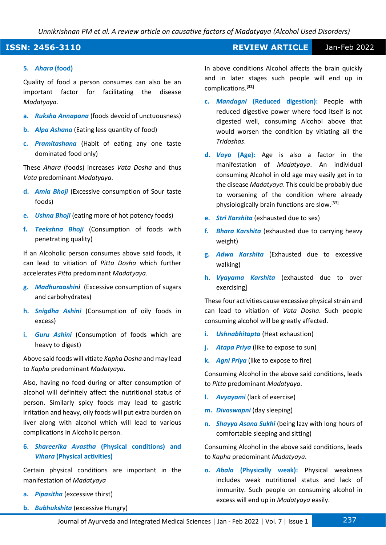#### **ISSN: 2456-3110 REVIEW ARTICLE** Jan-Feb 2022

#### **5.** *Ahara* **(food)**

Quality of food a person consumes can also be an important factor for facilitating the disease *Madatyaya*.

- **a.** *Ruksha Annapana* (foods devoid of unctuousness)
- **b.** *Alpa Ashana* (Eating less quantity of food)
- **c.** *Pramitashana* (Habit of eating any one taste dominated food only)

These *Ahara* (foods) increases *Vata Dosha* and thus *Vata* predominant *Madatyaya*.

- **d.** *Amla Bhoji* (Excessive consumption of Sour taste foods)
- **e.** *Ushna Bhoji* (eating more of hot potency foods)
- **f.** *Teekshna Bhoji* (Consumption of foods with penetrating quality)

If an Alcoholic person consumes above said foods, it can lead to vitiation of *Pitta Dosha* which further accelerates *Pitta* predominant *Madatyaya*.

- **g.** *Madhuraashini* (Excessive consumption of sugars and carbohydrates)
- **h.** *Snigdha Ashini* (Consumption of oily foods in excess)
- **i.** *Guru Ashini* (Consumption of foods which are heavy to digest)

Above said foods will vitiate *Kapha Dosha* and may lead to *Kapha* predominant *Madatyaya*.

Also, having no food during or after consumption of alcohol will definitely affect the nutritional status of person. Similarly spicy foods may lead to gastric irritation and heavy, oily foods will put extra burden on liver along with alcohol which will lead to various complications in Alcoholic person.

#### **6.** *Shareerika Avastha* **(Physical conditions) and**  *Vihara* **(Physical activities)**

Certain physical conditions are important in the manifestation of *Madatyaya*

- **a.** *Pipasitha* (excessive thirst)
- **b.** *Bubhukshita* (excessive Hungry)

In above conditions Alcohol affects the brain quickly and in later stages such people will end up in complications.**[32]**

- **c.** *Mandagni* **(Reduced digestion):** People with reduced digestive power where food itself is not digested well, consuming Alcohol above that would worsen the condition by vitiating all the *Tridoshas*.
- **d.** *Vaya* **(Age):** Age is also a factor in the manifestation of *Madatyaya*. An individual consuming Alcohol in old age may easily get in to the disease *Madatyaya*. This could be probably due to worsening of the condition where already physiologically brain functions are slow.[33]
- **e.** *Stri Karshita* (exhausted due to sex)
- **f.** *Bhara Karshita* (exhausted due to carrying heavy weight)
- **g.** *Adwa Karshita* (Exhausted due to excessive walking)
- **h.** *Vyayama Karshita* (exhausted due to over exercising]

These four activities cause excessive physical strain and can lead to vitiation of *Vata Dosha*. Such people consuming alcohol will be greatly affected.

- **i.** *Ushnabhitapta* (Heat exhaustion)
- **j.** *Atapa Priya* (like to expose to sun)
- **k.** *Agni Priya* (like to expose to fire)

Consuming Alcohol in the above said conditions, leads to *Pitta* predominant *Madatyaya*.

- **l.** *Avyayami* (lack of exercise)
- **m.** *Divaswapni* (day sleeping)
- **n.** *Shayya Asana Sukhi* (being lazy with long hours of comfortable sleeping and sitting)

Consuming Alcohol in the above said conditions, leads to *Kapha* predominant *Madatyaya*.

**o.** *Abala* **(Physically weak):** Physical weakness includes weak nutritional status and lack of immunity. Such people on consuming alcohol in excess will end up in *Madatyaya* easily.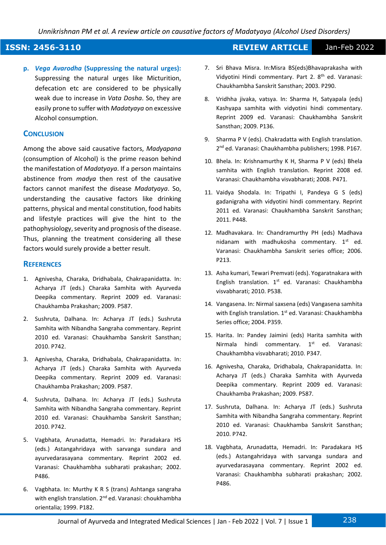### **ISSN: 2456-3110 REVIEW ARTICLE** Jan-Feb 2022

**p.** *Vega Avarodha* **(Suppressing the natural urges):** Suppressing the natural urges like Micturition, defecation etc are considered to be physically weak due to increase in *Vata Dosha*. So, they are easily prone to suffer with *Madatyaya* on excessive Alcohol consumption.

#### **CONCLUSION**

Among the above said causative factors, *Madyapana* (consumption of Alcohol) is the prime reason behind the manifestation of *Madatyaya*. If a person maintains abstinence from *madya* then rest of the causative factors cannot manifest the disease *Madatyaya*. So, understanding the causative factors like drinking patterns, physical and mental constitution, food habits and lifestyle practices will give the hint to the pathophysiology, severity and prognosis of the disease. Thus, planning the treatment considering all these factors would surely provide a better result.

#### **REFERENCES**

- 1. Agnivesha, Charaka, Dridhabala, Chakrapanidatta. In: Acharya JT (eds.) Charaka Samhita with Ayurveda Deepika commentary. Reprint 2009 ed. Varanasi: Chaukhamba Prakashan; 2009. P587.
- 2. Sushruta, Dalhana. In: Acharya JT (eds.) Sushruta Samhita with Nibandha Sangraha commentary. Reprint 2010 ed. Varanasi: Chaukhamba Sanskrit Sansthan; 2010. P742.
- 3. Agnivesha, Charaka, Dridhabala, Chakrapanidatta. In: Acharya JT (eds.) Charaka Samhita with Ayurveda Deepika commentary. Reprint 2009 ed. Varanasi: Chaukhamba Prakashan; 2009. P587.
- 4. Sushruta, Dalhana. In: Acharya JT (eds.) Sushruta Samhita with Nibandha Sangraha commentary. Reprint 2010 ed. Varanasi: Chaukhamba Sanskrit Sansthan; 2010. P742.
- 5. Vagbhata, Arunadatta, Hemadri. In: Paradakara HS (eds.) Astangahridaya with sarvanga sundara and ayurvedarasayana commentary. Reprint 2002 ed. Varanasi: Chaukhambha subharati prakashan; 2002. P486.
- 6. Vagbhata. In: Murthy K R S (trans) Ashtanga sangraha with english translation. 2<sup>nd</sup> ed. Varanasi: choukhambha orientalia; 1999. P182.
- 7. Sri Bhava Misra. In:Misra BS(eds)Bhavaprakasha with Vidyotini Hindi commentary. Part 2. 8<sup>th</sup> ed. Varanasi: Chaukhambha Sanskrit Sansthan; 2003. P290.
- 8. Vridhha jivaka, vatsya. In: Sharma H, Satyapala (eds) Kashyapa samhita with vidyotini hindi commentary. Reprint 2009 ed. Varanasi: Chaukhambha Sanskrit Sansthan; 2009. P136.
- 9. Sharma P V (eds). Chakradatta with English translation. 2<sup>nd</sup> ed. Varanasi: Chaukhambha publishers; 1998. P167.
- 10. Bhela. In: Krishnamurthy K H, Sharma P V (eds) Bhela samhita with English translation. Reprint 2008 ed. Varanasi: Chaukhambha visvabharati; 2008. P471.
- 11. Vaidya Shodala. In: Tripathi I, Pandeya G S (eds) gadanigraha with vidyotini hindi commentary. Reprint 2011 ed. Varanasi: Chaukhambha Sanskrit Sansthan; 2011. P448.
- 12. Madhavakara. In: Chandramurthy PH (eds) Madhava nidanam with madhukosha commentary.  $1^{st}$  ed. Varanasi: Chaukhambha Sanskrit series office; 2006. P213.
- 13. Asha kumari, Tewari Premvati (eds). Yogaratnakara with English translation.  $1^{st}$  ed. Varanasi: Chaukhambha visvabharati; 2010. P538.
- 14. Vangasena. In: Nirmal saxsena (eds) Vangasena samhita with English translation. 1<sup>st</sup> ed. Varanasi: Chaukhambha Series office; 2004. P359.
- 15. Harita. In: Pandey Jaimini (eds) Harita samhita with Nirmala hindi commentary. 1<sup>st</sup> ed. Varanasi: Chaukhambha visvabharati; 2010. P347.
- 16. Agnivesha, Charaka, Dridhabala, Chakrapanidatta. In: Acharya JT (eds.) Charaka Samhita with Ayurveda Deepika commentary. Reprint 2009 ed. Varanasi: Chaukhamba Prakashan; 2009. P587.
- 17. Sushruta, Dalhana. In: Acharya JT (eds.) Sushruta Samhita with Nibandha Sangraha commentary. Reprint 2010 ed. Varanasi: Chaukhamba Sanskrit Sansthan; 2010. P742.
- 18. Vagbhata, Arunadatta, Hemadri. In: Paradakara HS (eds.) Astangahridaya with sarvanga sundara and ayurvedarasayana commentary. Reprint 2002 ed. Varanasi: Chaukhambha subharati prakashan; 2002. P486.